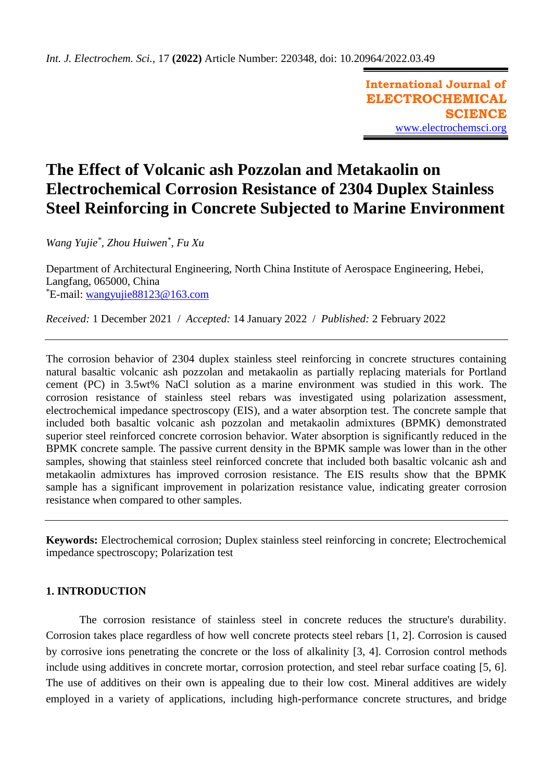**International Journal of ELECTROCHEMICAL SCIENCE** [www.electrochemsci.org](http://www.electrochemsci.org/)

# **The Effect of Volcanic ash Pozzolan and Metakaolin on Electrochemical Corrosion Resistance of 2304 Duplex Stainless Steel Reinforcing in Concrete Subjected to Marine Environment**

*Wang Yujie\* , Zhou Huiwen\* , Fu Xu*

Department of Architectural Engineering, North China Institute of Aerospace Engineering, Hebei, Langfang, 065000, China  $E$ -mail: wangyujie $88123@163$ .com

*Received:* 1 December 2021/ *Accepted:* 14 January 2022 / *Published:* 2 February 2022

The corrosion behavior of 2304 duplex stainless steel reinforcing in concrete structures containing natural basaltic volcanic ash pozzolan and metakaolin as partially replacing materials for Portland cement (PC) in 3.5wt% NaCl solution as a marine environment was studied in this work. The corrosion resistance of stainless steel rebars was investigated using polarization assessment, electrochemical impedance spectroscopy (EIS), and a water absorption test. The concrete sample that included both basaltic volcanic ash pozzolan and metakaolin admixtures (BPMK) demonstrated superior steel reinforced concrete corrosion behavior. Water absorption is significantly reduced in the BPMK concrete sample. The passive current density in the BPMK sample was lower than in the other samples, showing that stainless steel reinforced concrete that included both basaltic volcanic ash and metakaolin admixtures has improved corrosion resistance. The EIS results show that the BPMK sample has a significant improvement in polarization resistance value, indicating greater corrosion resistance when compared to other samples.

**Keywords:** Electrochemical corrosion; Duplex stainless steel reinforcing in concrete; Electrochemical impedance spectroscopy; Polarization test

## **1. INTRODUCTION**

The corrosion resistance of stainless steel in concrete reduces the structure's durability. Corrosion takes place regardless of how well concrete protects steel rebars [\[1,](#page-8-0) [2\]](#page-8-1). Corrosion is caused by corrosive ions penetrating the concrete or the loss of alkalinity [\[3,](#page-9-0) [4\]](#page-9-1). Corrosion control methods include using additives in concrete mortar, corrosion protection, and steel rebar surface coating [\[5,](#page-9-2) [6\]](#page-9-3). The use of additives on their own is appealing due to their low cost. Mineral additives are widely employed in a variety of applications, including high-performance concrete structures, and bridge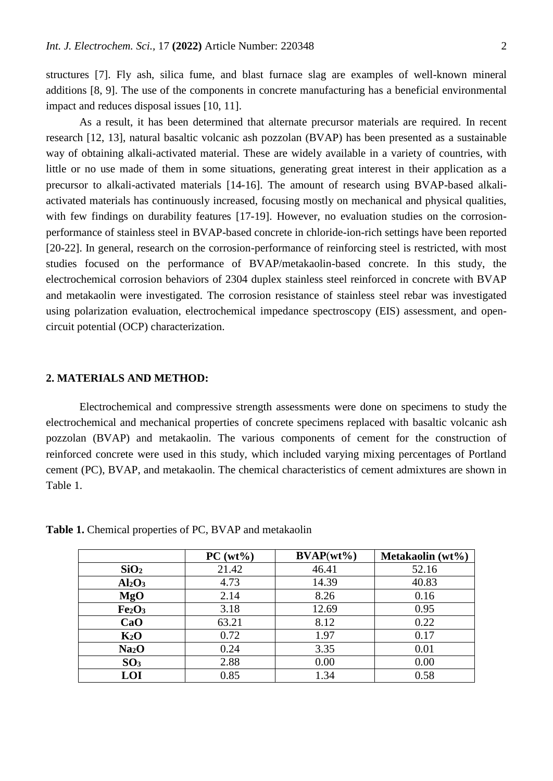structures [\[7\]](#page-9-4). Fly ash, silica fume, and blast furnace slag are examples of well-known mineral additions [\[8,](#page-9-5) [9\]](#page-9-6). The use of the components in concrete manufacturing has a beneficial environmental impact and reduces disposal issues [\[10,](#page-9-7) [11\]](#page-9-8).

As a result, it has been determined that alternate precursor materials are required. In recent research [\[12,](#page-9-9) [13\]](#page-9-10), natural basaltic volcanic ash pozzolan (BVAP) has been presented as a sustainable way of obtaining alkali-activated material. These are widely available in a variety of countries, with little or no use made of them in some situations, generating great interest in their application as a precursor to alkali-activated materials [\[14-16\]](#page-9-11). The amount of research using BVAP-based alkaliactivated materials has continuously increased, focusing mostly on mechanical and physical qualities, with few findings on durability features [\[17-19\]](#page-9-12). However, no evaluation studies on the corrosionperformance of stainless steel in BVAP-based concrete in chloride-ion-rich settings have been reported [\[20-22\]](#page-9-13). In general, research on the corrosion-performance of reinforcing steel is restricted, with most studies focused on the performance of BVAP/metakaolin-based concrete. In this study, the electrochemical corrosion behaviors of 2304 duplex stainless steel reinforced in concrete with BVAP and metakaolin were investigated. The corrosion resistance of stainless steel rebar was investigated using polarization evaluation, electrochemical impedance spectroscopy (EIS) assessment, and opencircuit potential (OCP) characterization.

### **2. MATERIALS AND METHOD:**

Electrochemical and compressive strength assessments were done on specimens to study the electrochemical and mechanical properties of concrete specimens replaced with basaltic volcanic ash pozzolan (BVAP) and metakaolin. The various components of cement for the construction of reinforced concrete were used in this study, which included varying mixing percentages of Portland cement (PC), BVAP, and metakaolin. The chemical characteristics of cement admixtures are shown in Table 1.

|                                | $PC(wt\%)$ | $\mathbf{BVAP}(\mathbf{wt}\mathcal{\%})$ | Metakaolin (wt%) |
|--------------------------------|------------|------------------------------------------|------------------|
| SiO <sub>2</sub>               | 21.42      | 46.41                                    | 52.16            |
| Al <sub>2</sub> O <sub>3</sub> | 4.73       | 14.39                                    | 40.83            |
| <b>MgO</b>                     | 2.14       | 8.26                                     | 0.16             |
| Fe <sub>2</sub> O <sub>3</sub> | 3.18       | 12.69                                    | 0.95             |
| CaO                            | 63.21      | 8.12                                     | 0.22             |
| $K_2O$                         | 0.72       | 1.97                                     | 0.17             |
| Na <sub>2</sub> O              | 0.24       | 3.35                                     | 0.01             |
| SO <sub>3</sub>                | 2.88       | 0.00                                     | 0.00             |
| LOI                            | 0.85       | 1.34                                     | 0.58             |

**Table 1.** Chemical properties of PC, BVAP and metakaolin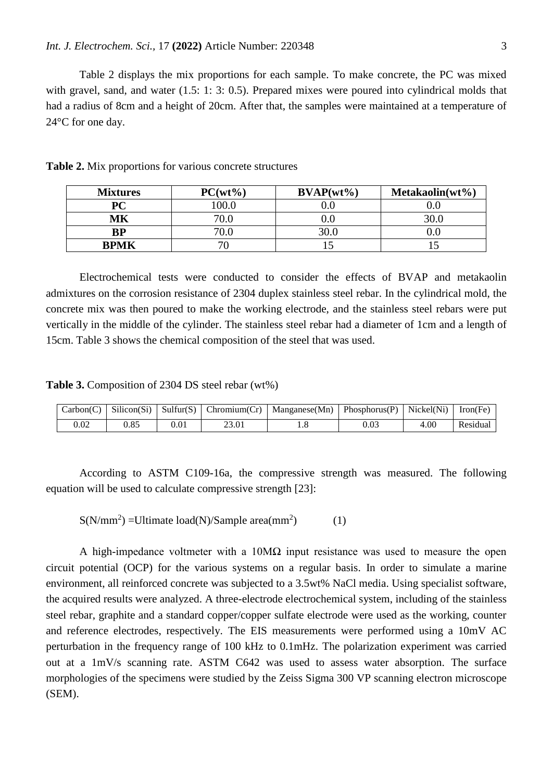Table 2 displays the mix proportions for each sample. To make concrete, the PC was mixed with gravel, sand, and water (1.5: 1: 3: 0.5). Prepared mixes were poured into cylindrical molds that had a radius of 8cm and a height of 20cm. After that, the samples were maintained at a temperature of 24°C for one day.

| <b>Mixtures</b> | $PC(wt\%)$ | $\mathbf{BVAP}(\mathbf{wt}\mathcal{\%})$ | $Metakaolin(wt\%)$ |  |
|-----------------|------------|------------------------------------------|--------------------|--|
| PС              | 0.00       |                                          |                    |  |
| МK              |            |                                          |                    |  |
| ${\bf BP}$      |            |                                          |                    |  |
| <b>BPMK</b>     | 70         |                                          |                    |  |

**Table 2.** Mix proportions for various concrete structures

Electrochemical tests were conducted to consider the effects of BVAP and metakaolin admixtures on the corrosion resistance of 2304 duplex stainless steel rebar. In the cylindrical mold, the concrete mix was then poured to make the working electrode, and the stainless steel rebars were put vertically in the middle of the cylinder. The stainless steel rebar had a diameter of 1cm and a length of 15cm. Table 3 shows the chemical composition of the steel that was used.

**Table 3.** Composition of 2304 DS steel rebar (wt%)

|  |       | $\text{Carbon}(C)$ Silicon(Si) Sulfur(S) Chromium(Cr)   Manganese(Mn)   Phosphorus(P)   Nickel(Ni) |      |      | Iron(Fe) |
|--|-------|----------------------------------------------------------------------------------------------------|------|------|----------|
|  | 23.01 | 1.0                                                                                                | 0.03 | 4.00 | Residual |

According to ASTM C109-16a, the compressive strength was measured. The following equation will be used to calculate compressive strength [\[23\]](#page-9-14):

 $S(N/mm<sup>2</sup>) = Ultimate load(N)/Sample area(mm<sup>2</sup>)$ ) (1)

A high-impedance voltmeter with a  $10M\Omega$  input resistance was used to measure the open circuit potential (OCP) for the various systems on a regular basis. In order to simulate a marine environment, all reinforced concrete was subjected to a 3.5wt% NaCl media. Using specialist software, the acquired results were analyzed. A three-electrode electrochemical system, including of the stainless steel rebar, graphite and a standard copper/copper sulfate electrode were used as the working, counter and reference electrodes, respectively. The EIS measurements were performed using a 10mV AC perturbation in the frequency range of 100 kHz to 0.1mHz. The polarization experiment was carried out at a 1mV/s scanning rate. ASTM C642 was used to assess water absorption. The surface morphologies of the specimens were studied by the Zeiss Sigma 300 VP scanning electron microscope (SEM).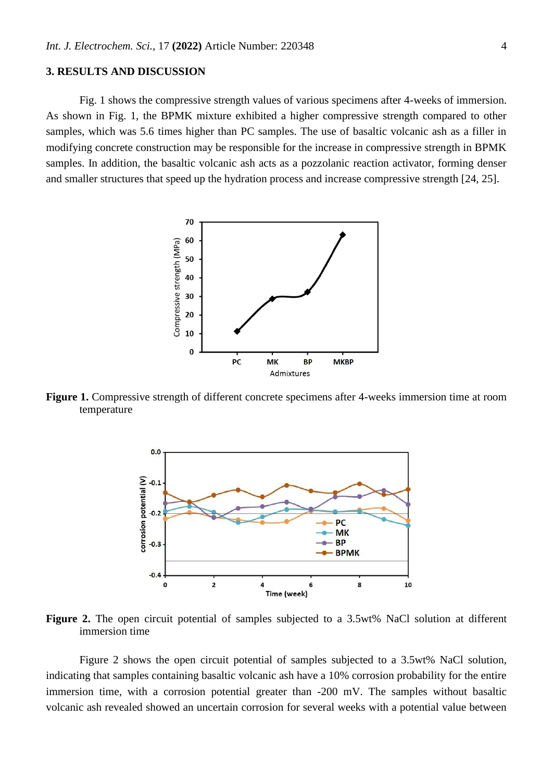## **3. RESULTS AND DISCUSSION**

Fig. 1 shows the compressive strength values of various specimens after 4-weeks of immersion. As shown in Fig. 1, the BPMK mixture exhibited a higher compressive strength compared to other samples, which was 5.6 times higher than PC samples. The use of basaltic volcanic ash as a filler in modifying concrete construction may be responsible for the increase in compressive strength in BPMK samples. In addition, the basaltic volcanic ash acts as a pozzolanic reaction activator, forming denser and smaller structures that speed up the hydration process and increase compressive strength [\[24,](#page-9-15) [25\]](#page-9-16).



**Figure 1.** Compressive strength of different concrete specimens after 4-weeks immersion time at room temperature



**Figure 2.** The open circuit potential of samples subjected to a 3.5wt% NaCl solution at different immersion time

Figure 2 shows the open circuit potential of samples subjected to a 3.5wt% NaCl solution, indicating that samples containing basaltic volcanic ash have a 10% corrosion probability for the entire immersion time, with a corrosion potential greater than -200 mV. The samples without basaltic volcanic ash revealed showed an uncertain corrosion for several weeks with a potential value between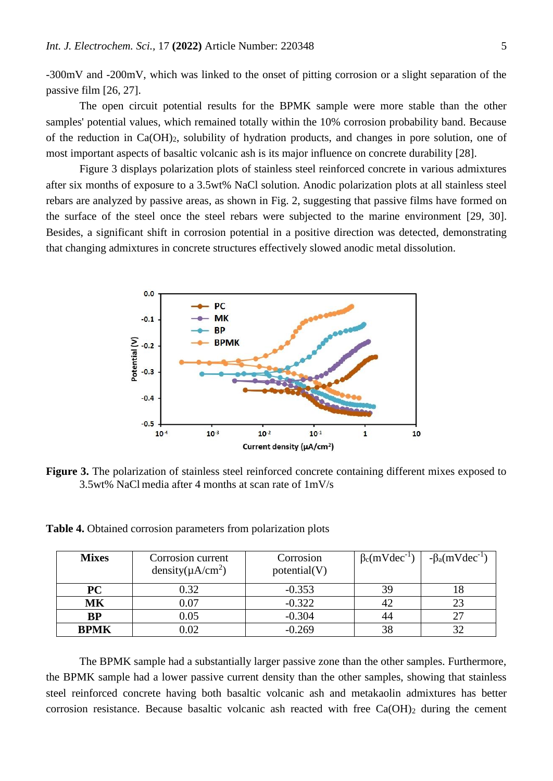-300mV and -200mV, which was linked to the onset of pitting corrosion or a slight separation of the passive film [\[26,](#page-9-17) [27\]](#page-9-18).

The open circuit potential results for the BPMK sample were more stable than the other samples' potential values, which remained totally within the 10% corrosion probability band. Because of the reduction in Ca(OH)2, solubility of hydration products, and changes in pore solution, one of most important aspects of basaltic volcanic ash is its major influence on concrete durability [\[28\]](#page-9-19).

Figure 3 displays polarization plots of stainless steel reinforced concrete in various admixtures after six months of exposure to a 3.5wt% NaCl solution. Anodic polarization plots at all stainless steel rebars are analyzed by passive areas, as shown in Fig. 2, suggesting that passive films have formed on the surface of the steel once the steel rebars were subjected to the marine environment [\[29,](#page-9-20) [30\]](#page-9-21). Besides, a significant shift in corrosion potential in a positive direction was detected, demonstrating that changing admixtures in concrete structures effectively slowed anodic metal dissolution.



Figure 3. The polarization of stainless steel reinforced concrete containing different mixes exposed to 3.5wt% NaCl media after 4 months at scan rate of 1mV/s

**Table 4.** Obtained corrosion parameters from polarization plots

| <b>Mixes</b> | Corrosion current<br>density( $\mu$ A/cm <sup>2</sup> ) | Corrosion<br>potential(V) | $\beta_c$ (mVdec <sup>-1</sup> ) | $-\beta_a$ (mVdec <sup>-1</sup> ) |
|--------------|---------------------------------------------------------|---------------------------|----------------------------------|-----------------------------------|
| <b>PC</b>    | 0.32                                                    | $-0.353$                  | 39                               |                                   |
| MK           | 0.07                                                    | $-0.322$                  | 42                               | 23                                |
| <b>BP</b>    | 0.05                                                    | $-0.304$                  | 44                               | 27                                |
| <b>BPMK</b>  | $0.02\,$                                                | $-0.269$                  | 38                               | 32                                |

The BPMK sample had a substantially larger passive zone than the other samples. Furthermore, the BPMK sample had a lower passive current density than the other samples, showing that stainless steel reinforced concrete having both basaltic volcanic ash and metakaolin admixtures has better corrosion resistance. Because basaltic volcanic ash reacted with free  $Ca(OH)_2$  during the cement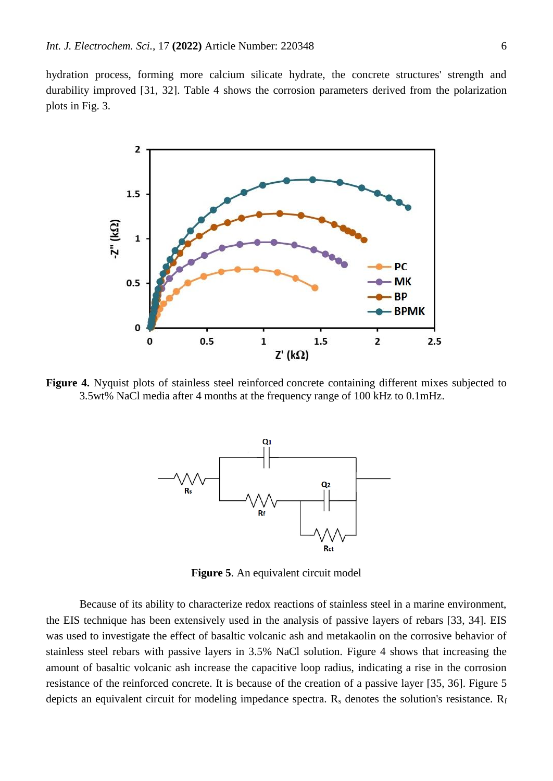hydration process, forming more calcium silicate hydrate, the concrete structures' strength and durability improved [\[31,](#page-10-0) [32\]](#page-10-1). Table 4 shows the corrosion parameters derived from the polarization plots in Fig. 3.



**Figure 4.** Nyquist plots of stainless steel reinforced concrete containing different mixes subjected to 3.5wt% NaCl media after 4 months at the frequency range of 100 kHz to 0.1mHz.



**Figure 5**. An equivalent circuit model

Because of its ability to characterize redox reactions of stainless steel in a marine environment, the EIS technique has been extensively used in the analysis of passive layers of rebars [\[33,](#page-10-2) [34\]](#page-10-3). EIS was used to investigate the effect of basaltic volcanic ash and metakaolin on the corrosive behavior of stainless steel rebars with passive layers in 3.5% NaCl solution. Figure 4 shows that increasing the amount of basaltic volcanic ash increase the capacitive loop radius, indicating a rise in the corrosion resistance of the reinforced concrete. It is because of the creation of a passive layer [\[35,](#page-10-4) [36\]](#page-10-5). Figure 5 depicts an equivalent circuit for modeling impedance spectra.  $R_s$  denotes the solution's resistance.  $R_f$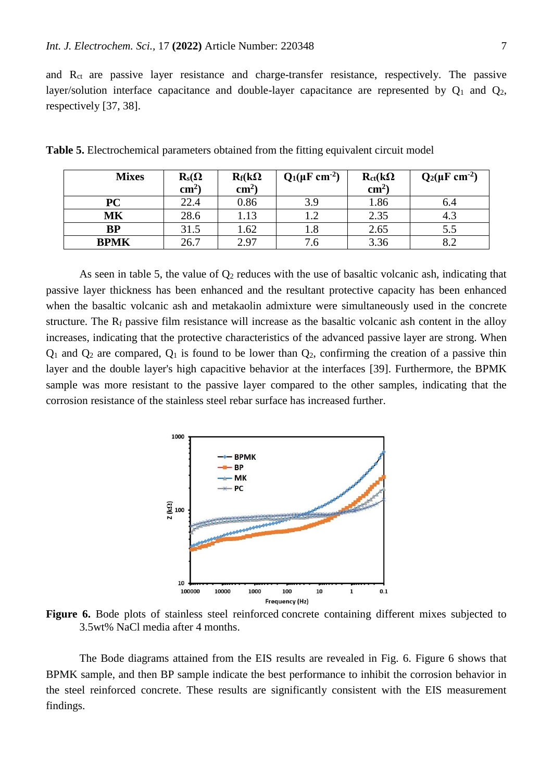and Rct are passive layer resistance and charge-transfer resistance, respectively. The passive layer/solution interface capacitance and double-layer capacitance are represented by  $Q_1$  and  $Q_2$ , respectively [\[37,](#page-10-6) [38\]](#page-10-7).

| <b>Mixes</b> | $\mathbf{R}_s(\Omega)$ | $R_f(k\Omega)$  | $Q_1(\mu F \text{ cm}^{-2})$ | $R_{ct}(k\Omega)$ | $Q_2(\mu F \, cm^{-2})$ |
|--------------|------------------------|-----------------|------------------------------|-------------------|-------------------------|
|              | $\text{cm}^{2}$        | $\text{cm}^{2}$ |                              | $\text{cm}^2$     |                         |
| PC           | 22.4                   | 0.86            | 3.9                          | 1.86              | 6.4                     |
| MK           | 28.6                   | 1.13            | 1.2                          | 2.35              | 4.3                     |
| BP           | 31.5                   | 1.62            | 1.8                          | 2.65              | 5.5                     |
| <b>BPMK</b>  | 26.7                   | 2.97            | . ხ                          | 3.36              | 8.2                     |

**Table 5.** Electrochemical parameters obtained from the fitting equivalent circuit model

As seen in table 5, the value of  $Q_2$  reduces with the use of basaltic volcanic ash, indicating that passive layer thickness has been enhanced and the resultant protective capacity has been enhanced when the basaltic volcanic ash and metakaolin admixture were simultaneously used in the concrete structure. The  $R_f$  passive film resistance will increase as the basaltic volcanic ash content in the alloy increases, indicating that the protective characteristics of the advanced passive layer are strong. When  $Q_1$  and  $Q_2$  are compared,  $Q_1$  is found to be lower than  $Q_2$ , confirming the creation of a passive thin layer and the double layer's high capacitive behavior at the interfaces [\[39\]](#page-10-8). Furthermore, the BPMK sample was more resistant to the passive layer compared to the other samples, indicating that the corrosion resistance of the stainless steel rebar surface has increased further.



**Figure 6.** Bode plots of stainless steel reinforced concrete containing different mixes subjected to 3.5wt% NaCl media after 4 months.

The Bode diagrams attained from the EIS results are revealed in Fig. 6. Figure 6 shows that BPMK sample, and then BP sample indicate the best performance to inhibit the corrosion behavior in the steel reinforced concrete. These results are significantly consistent with the EIS measurement findings.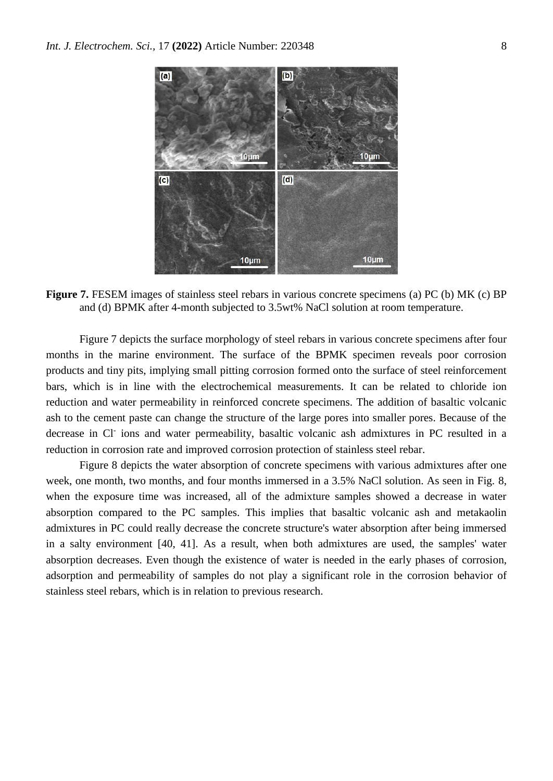

**Figure 7.** FESEM images of stainless steel rebars in various concrete specimens (a) PC (b) MK (c) BP and (d) BPMK after 4-month subjected to 3.5wt% NaCl solution at room temperature.

Figure 7 depicts the surface morphology of steel rebars in various concrete specimens after four months in the marine environment. The surface of the BPMK specimen reveals poor corrosion products and tiny pits, implying small pitting corrosion formed onto the surface of steel reinforcement bars, which is in line with the electrochemical measurements. It can be related to chloride ion reduction and water permeability in reinforced concrete specimens. The addition of basaltic volcanic ash to the cement paste can change the structure of the large pores into smaller pores. Because of the decrease in Cl<sup>-</sup> ions and water permeability, basaltic volcanic ash admixtures in PC resulted in a reduction in corrosion rate and improved corrosion protection of stainless steel rebar.

Figure 8 depicts the water absorption of concrete specimens with various admixtures after one week, one month, two months, and four months immersed in a 3.5% NaCl solution. As seen in Fig. 8, when the exposure time was increased, all of the admixture samples showed a decrease in water absorption compared to the PC samples. This implies that basaltic volcanic ash and metakaolin admixtures in PC could really decrease the concrete structure's water absorption after being immersed in a salty environment [\[40,](#page-10-9) [41\]](#page-10-10). As a result, when both admixtures are used, the samples' water absorption decreases. Even though the existence of water is needed in the early phases of corrosion, adsorption and permeability of samples do not play a significant role in the corrosion behavior of stainless steel rebars, which is in relation to previous research.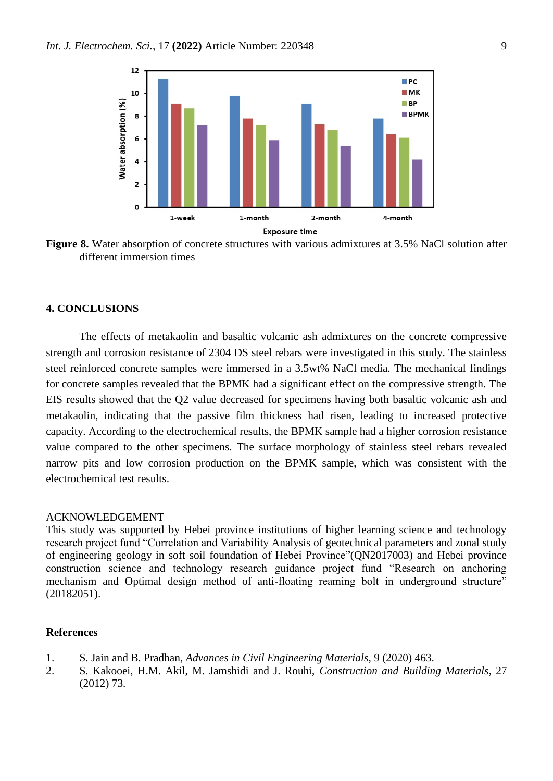

**Figure 8.** Water absorption of concrete structures with various admixtures at 3.5% NaCl solution after different immersion times

## **4. CONCLUSIONS**

The effects of metakaolin and basaltic volcanic ash admixtures on the concrete compressive strength and corrosion resistance of 2304 DS steel rebars were investigated in this study. The stainless steel reinforced concrete samples were immersed in a 3.5wt% NaCl media. The mechanical findings for concrete samples revealed that the BPMK had a significant effect on the compressive strength. The EIS results showed that the Q2 value decreased for specimens having both basaltic volcanic ash and metakaolin, indicating that the passive film thickness had risen, leading to increased protective capacity. According to the electrochemical results, the BPMK sample had a higher corrosion resistance value compared to the other specimens. The surface morphology of stainless steel rebars revealed narrow pits and low corrosion production on the BPMK sample, which was consistent with the electrochemical test results.

#### ACKNOWLEDGEMENT

This study was supported by Hebei province institutions of higher learning science and technology research project fund "Correlation and Variability Analysis of geotechnical parameters and zonal study of engineering geology in soft soil foundation of Hebei Province"(QN2017003) and Hebei province construction science and technology research guidance project fund "Research on anchoring mechanism and Optimal design method of anti-floating reaming bolt in underground structure" (20182051).

### **References**

- <span id="page-8-0"></span>1. S. Jain and B. Pradhan, *Advances in Civil Engineering Materials*, 9 (2020) 463.
- <span id="page-8-1"></span>2. S. Kakooei, H.M. Akil, M. Jamshidi and J. Rouhi, *Construction and Building Materials*, 27 (2012) 73.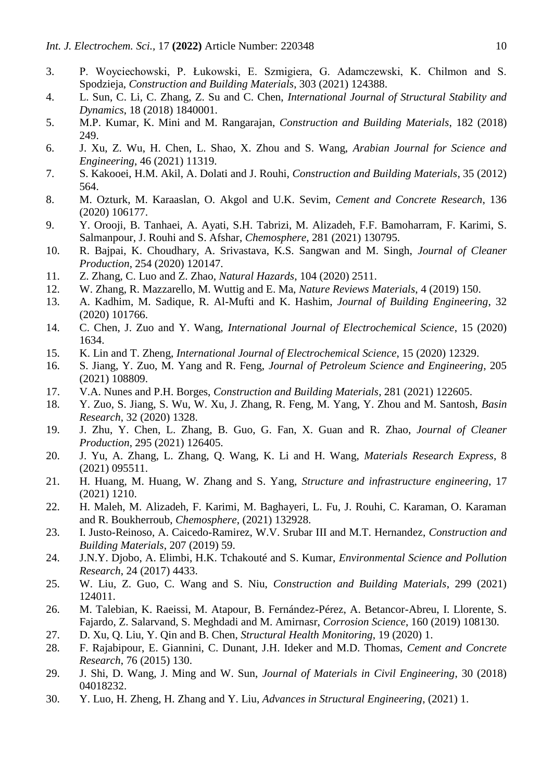- <span id="page-9-0"></span>3. P. Woyciechowski, P. Łukowski, E. Szmigiera, G. Adamczewski, K. Chilmon and S. Spodzieja, *Construction and Building Materials*, 303 (2021) 124388.
- <span id="page-9-1"></span>4. L. Sun, C. Li, C. Zhang, Z. Su and C. Chen, *International Journal of Structural Stability and Dynamics*, 18 (2018) 1840001.
- <span id="page-9-2"></span>5. M.P. Kumar, K. Mini and M. Rangarajan, *Construction and Building Materials*, 182 (2018) 249.
- <span id="page-9-3"></span>6. J. Xu, Z. Wu, H. Chen, L. Shao, X. Zhou and S. Wang, *Arabian Journal for Science and Engineering*, 46 (2021) 11319.
- <span id="page-9-4"></span>7. S. Kakooei, H.M. Akil, A. Dolati and J. Rouhi, *Construction and Building Materials*, 35 (2012) 564.
- <span id="page-9-5"></span>8. M. Ozturk, M. Karaaslan, O. Akgol and U.K. Sevim, *Cement and Concrete Research*, 136 (2020) 106177.
- <span id="page-9-6"></span>9. Y. Orooji, B. Tanhaei, A. Ayati, S.H. Tabrizi, M. Alizadeh, F.F. Bamoharram, F. Karimi, S. Salmanpour, J. Rouhi and S. Afshar, *Chemosphere*, 281 (2021) 130795.
- <span id="page-9-7"></span>10. R. Bajpai, K. Choudhary, A. Srivastava, K.S. Sangwan and M. Singh, *Journal of Cleaner Production*, 254 (2020) 120147.
- <span id="page-9-8"></span>11. Z. Zhang, C. Luo and Z. Zhao, *Natural Hazards*, 104 (2020) 2511.
- <span id="page-9-9"></span>12. W. Zhang, R. Mazzarello, M. Wuttig and E. Ma, *Nature Reviews Materials*, 4 (2019) 150.
- <span id="page-9-10"></span>13. A. Kadhim, M. Sadique, R. Al-Mufti and K. Hashim, *Journal of Building Engineering*, 32 (2020) 101766.
- <span id="page-9-11"></span>14. C. Chen, J. Zuo and Y. Wang, *International Journal of Electrochemical Science*, 15 (2020) 1634.
- 15. K. Lin and T. Zheng, *International Journal of Electrochemical Science*, 15 (2020) 12329.
- 16. S. Jiang, Y. Zuo, M. Yang and R. Feng, *Journal of Petroleum Science and Engineering*, 205 (2021) 108809.
- <span id="page-9-12"></span>17. V.A. Nunes and P.H. Borges, *Construction and Building Materials*, 281 (2021) 122605.
- 18. Y. Zuo, S. Jiang, S. Wu, W. Xu, J. Zhang, R. Feng, M. Yang, Y. Zhou and M. Santosh, *Basin Research*, 32 (2020) 1328.
- 19. J. Zhu, Y. Chen, L. Zhang, B. Guo, G. Fan, X. Guan and R. Zhao, *Journal of Cleaner Production*, 295 (2021) 126405.
- <span id="page-9-13"></span>20. J. Yu, A. Zhang, L. Zhang, Q. Wang, K. Li and H. Wang, *Materials Research Express*, 8 (2021) 095511.
- 21. H. Huang, M. Huang, W. Zhang and S. Yang, *Structure and infrastructure engineering*, 17 (2021) 1210.
- 22. H. Maleh, M. Alizadeh, F. Karimi, M. Baghayeri, L. Fu, J. Rouhi, C. Karaman, O. Karaman and R. Boukherroub, *Chemosphere*, (2021) 132928.
- <span id="page-9-14"></span>23. I. Justo-Reinoso, A. Caicedo-Ramirez, W.V. Srubar III and M.T. Hernandez, *Construction and Building Materials*, 207 (2019) 59.
- <span id="page-9-15"></span>24. J.N.Y. Djobo, A. Elimbi, H.K. Tchakouté and S. Kumar, *Environmental Science and Pollution Research*, 24 (2017) 4433.
- <span id="page-9-16"></span>25. W. Liu, Z. Guo, C. Wang and S. Niu, *Construction and Building Materials*, 299 (2021) 124011.
- <span id="page-9-17"></span>26. M. Talebian, K. Raeissi, M. Atapour, B. Fernández-Pérez, A. Betancor-Abreu, I. Llorente, S. Fajardo, Z. Salarvand, S. Meghdadi and M. Amirnasr, *Corrosion Science*, 160 (2019) 108130.
- <span id="page-9-18"></span>27. D. Xu, Q. Liu, Y. Qin and B. Chen, *Structural Health Monitoring*, 19 (2020) 1.
- <span id="page-9-19"></span>28. F. Rajabipour, E. Giannini, C. Dunant, J.H. Ideker and M.D. Thomas, *Cement and Concrete Research*, 76 (2015) 130.
- <span id="page-9-20"></span>29. J. Shi, D. Wang, J. Ming and W. Sun, *Journal of Materials in Civil Engineering*, 30 (2018) 04018232.
- <span id="page-9-21"></span>30. Y. Luo, H. Zheng, H. Zhang and Y. Liu, *Advances in Structural Engineering*, (2021) 1.